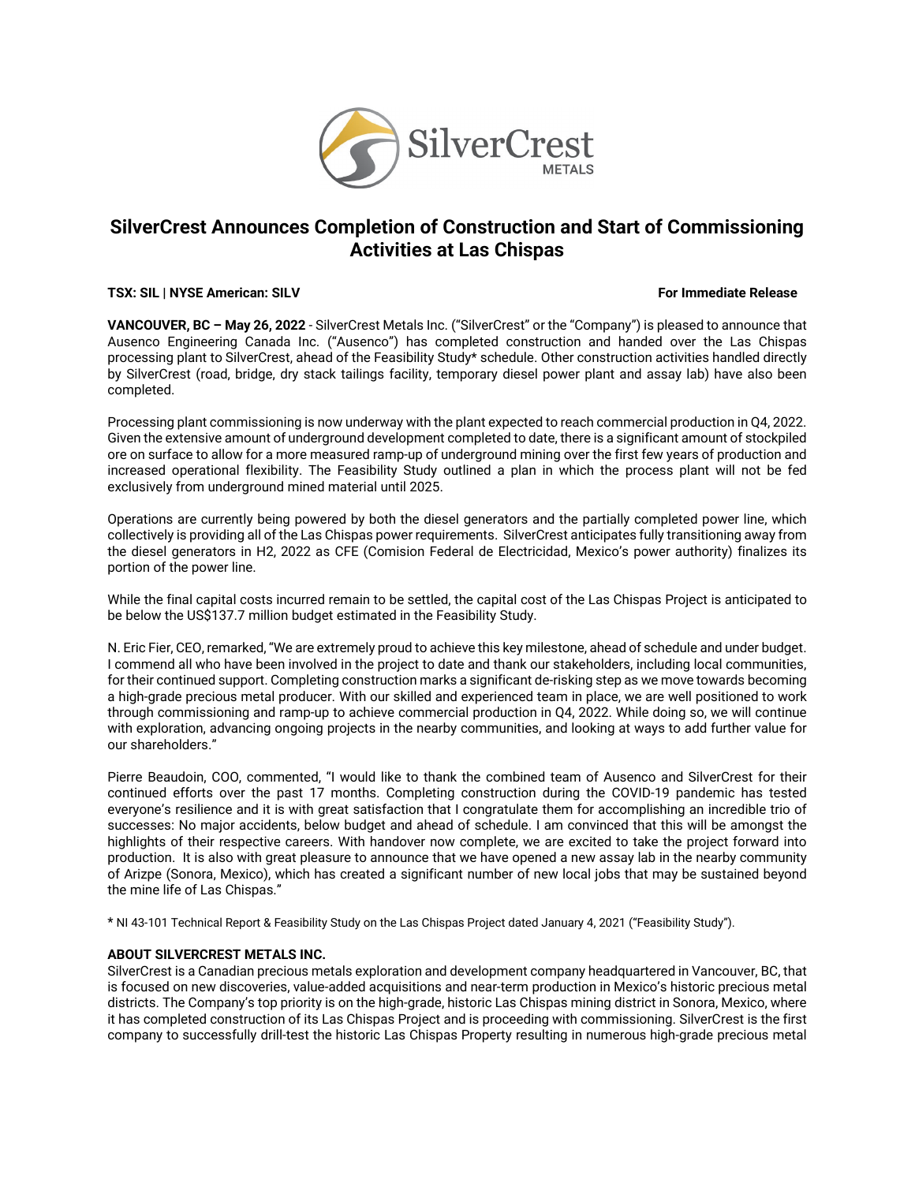

# **SilverCrest Announces Completion of Construction and Start of Commissioning Activities at Las Chispas**

#### **TSX: SIL | NYSE American: SILV For Immediate Release**

**VANCOUVER, BC – May 26, 2022** - SilverCrest Metals Inc. ("SilverCrest" or the "Company") is pleased to announce that Ausenco Engineering Canada Inc. ("Ausenco") has completed construction and handed over the Las Chispas processing plant to SilverCrest, ahead of the Feasibility Study\* schedule. Other construction activities handled directly by SilverCrest (road, bridge, dry stack tailings facility, temporary diesel power plant and assay lab) have also been completed.

Processing plant commissioning is now underway with the plant expected to reach commercial production in Q4, 2022. Given the extensive amount of underground development completed to date, there is a significant amount of stockpiled ore on surface to allow for a more measured ramp-up of underground mining over the first few years of production and increased operational flexibility. The Feasibility Study outlined a plan in which the process plant will not be fed exclusively from underground mined material until 2025.

Operations are currently being powered by both the diesel generators and the partially completed power line, which collectively is providing all of the Las Chispas power requirements. SilverCrest anticipates fully transitioning away from the diesel generators in H2, 2022 as CFE (Comision Federal de Electricidad, Mexico's power authority) finalizes its portion of the power line.

While the final capital costs incurred remain to be settled, the capital cost of the Las Chispas Project is anticipated to be below the US\$137.7 million budget estimated in the Feasibility Study.

N. Eric Fier, CEO, remarked, "We are extremely proud to achieve this key milestone, ahead of schedule and under budget. I commend all who have been involved in the project to date and thank our stakeholders, including local communities, for their continued support. Completing construction marks a significant de-risking step as we move towards becoming a high-grade precious metal producer. With our skilled and experienced team in place, we are well positioned to work through commissioning and ramp-up to achieve commercial production in Q4, 2022. While doing so, we will continue with exploration, advancing ongoing projects in the nearby communities, and looking at ways to add further value for our shareholders."

Pierre Beaudoin, COO, commented, "I would like to thank the combined team of Ausenco and SilverCrest for their continued efforts over the past 17 months. Completing construction during the COVID-19 pandemic has tested everyone's resilience and it is with great satisfaction that I congratulate them for accomplishing an incredible trio of successes: No major accidents, below budget and ahead of schedule. I am convinced that this will be amongst the highlights of their respective careers. With handover now complete, we are excited to take the project forward into production. It is also with great pleasure to announce that we have opened a new assay lab in the nearby community of Arizpe (Sonora, Mexico), which has created a significant number of new local jobs that may be sustained beyond the mine life of Las Chispas."

\* NI 43-101 Technical Report & Feasibility Study on the Las Chispas Project dated January 4, 2021 ("Feasibility Study").

### **ABOUT SILVERCREST METALS INC.**

SilverCrest is a Canadian precious metals exploration and development company headquartered in Vancouver, BC, that is focused on new discoveries, value-added acquisitions and near-term production in Mexico's historic precious metal districts. The Company's top priority is on the high-grade, historic Las Chispas mining district in Sonora, Mexico, where it has completed construction of its Las Chispas Project and is proceeding with commissioning. SilverCrest is the first company to successfully drill-test the historic Las Chispas Property resulting in numerous high-grade precious metal